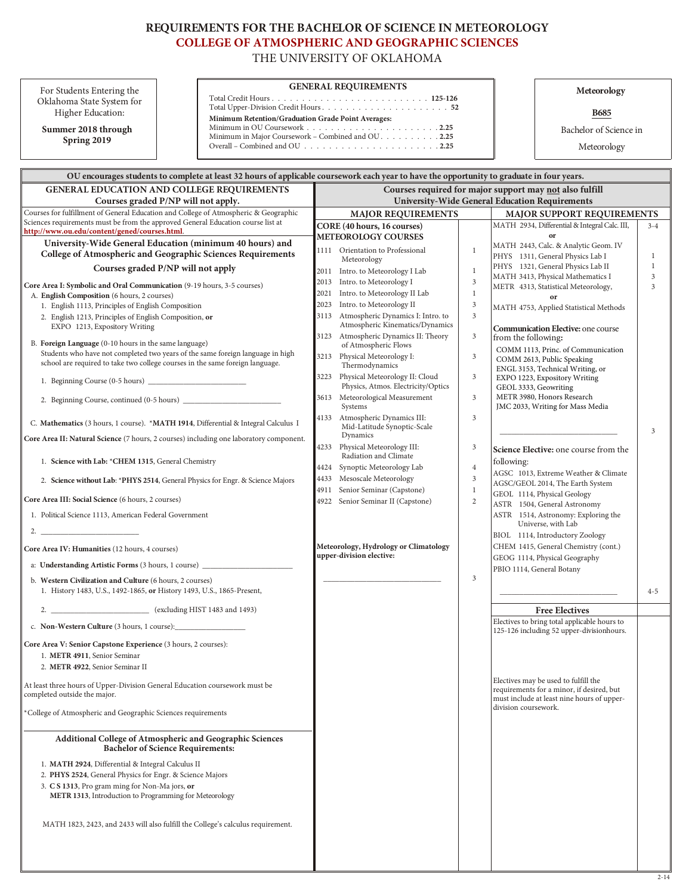# REQUIREMENTS FOR THE BACHELOR OF SCIENCE IN METEOROLOGY **COLLEGE OF ATMOSPHERIC AND GEOGRAPHIC SCIENCES**

THE UNIVERSITY OF OKLAHOMA

For Students Entering the Oklahoma State System for Higher Education:

Summer 2018 through Spring 2019

## **GENERAL REQUIREMENTS**

 $\begin{minipage}{0.9\linewidth} Total Credit Hours. \end{minipage} \begin{minipage}{0.9\linewidth} \textbf{Total Upper-Division Credit Hours.}\end{minipage} \begin{minipage}{0.9\linewidth} \textbf{Total Upper-Division Credit Hours.}\end{minipage} \begin{minipage}{0.9\linewidth} \textbf{Total Upper-Division Credit Hours.}\end{minipage} \begin{minipage}{0.9\linewidth} \textbf{Total Upper-Division Credit Hours.}\end{minipage} \begin{minipage}{0.9\linewidth} \textbf{Total Key} \end{minipage} \begin{minipage}{0.9\linewidth} \textbf{Total Key} \end{minipage} \begin{minipage}{0.9\linewidth} \$ Minimum Retention/Graduation Grade Point Averages: 

Meteorology

**B685** 

Bachelor of Science in

Meteorology

| OU encourages students to complete at least 32 hours of applicable coursework each year to have the opportunity to graduate in four years.                                                                                |              |                                                                                                                  |                |                                                                                                                                 |                     |  |  |  |
|---------------------------------------------------------------------------------------------------------------------------------------------------------------------------------------------------------------------------|--------------|------------------------------------------------------------------------------------------------------------------|----------------|---------------------------------------------------------------------------------------------------------------------------------|---------------------|--|--|--|
| <b>GENERAL EDUCATION AND COLLEGE REQUIREMENTS</b><br>Courses graded P/NP will not apply.                                                                                                                                  |              | Courses required for major support may not also fulfill<br><b>University-Wide General Education Requirements</b> |                |                                                                                                                                 |                     |  |  |  |
| Courses for fulfillment of General Education and College of Atmospheric & Geographic<br>Sciences requirements must be from the approved General Education course list at<br>http://www.ou.edu/content/gened/courses.html. |              | <b>MAJOR REQUIREMENTS</b><br>MAJOR SUPPORT REQUIREMENTS                                                          |                |                                                                                                                                 |                     |  |  |  |
|                                                                                                                                                                                                                           |              | CORE (40 hours, 16 courses)                                                                                      |                | MATH 2934, Differential & Integral Calc. III,<br>or                                                                             | $3 - 4$             |  |  |  |
| University-Wide General Education (minimum 40 hours) and                                                                                                                                                                  |              | <b>METEOROLOGY COURSES</b>                                                                                       |                | MATH 2443, Calc. & Analytic Geom. IV                                                                                            |                     |  |  |  |
| College of Atmospheric and Geographic Sciences Requirements                                                                                                                                                               |              | 1111 Orientation to Professional<br>Meteorology                                                                  | $\mathbf{1}$   | PHYS 1311, General Physics Lab I                                                                                                | 1                   |  |  |  |
| Courses graded P/NP will not apply                                                                                                                                                                                        |              | 2011 Intro. to Meteorology I Lab                                                                                 | $\mathbf{1}$   | PHYS 1321, General Physics Lab II                                                                                               | 1                   |  |  |  |
| Core Area I: Symbolic and Oral Communication (9-19 hours, 3-5 courses)                                                                                                                                                    | 2013         | Intro. to Meteorology I                                                                                          | $\mathfrak z$  | MATH 3413, Physical Mathematics I<br>METR 4313, Statistical Meteorology,                                                        | $\mathfrak{Z}$<br>3 |  |  |  |
| A. English Composition (6 hours, 2 courses)                                                                                                                                                                               | 2021         | Intro. to Meteorology II Lab                                                                                     | $\mathbf{1}$   | or                                                                                                                              |                     |  |  |  |
| 1. English 1113, Principles of English Composition                                                                                                                                                                        | 2023         | Intro. to Meteorology II                                                                                         | $\sqrt{3}$     | MATH 4753, Applied Statistical Methods                                                                                          |                     |  |  |  |
| 2. English 1213, Principles of English Composition, or<br>EXPO 1213, Expository Writing                                                                                                                                   | 3113         | Atmospheric Dynamics I: Intro. to<br>Atmospheric Kinematics/Dynamics                                             | $\mathfrak{Z}$ | <b>Communication Elective: one course</b>                                                                                       |                     |  |  |  |
| B. Foreign Language (0-10 hours in the same language)                                                                                                                                                                     | 3123         | Atmospheric Dynamics II: Theory<br>of Atmospheric Flows                                                          | $\mathfrak{Z}$ | from the following:                                                                                                             |                     |  |  |  |
| Students who have not completed two years of the same foreign language in high<br>school are required to take two college courses in the same foreign language.                                                           | 3213         | Physical Meteorology I:<br>Thermodynamics                                                                        | 3              | COMM 1113, Princ. of Communication<br>COMM 2613, Public Speaking                                                                |                     |  |  |  |
|                                                                                                                                                                                                                           | 3223         | Physical Meteorology II: Cloud<br>Physics, Atmos. Electricity/Optics                                             | 3              | ENGL 3153, Technical Writing, or<br>EXPO 1223, Expository Writing                                                               |                     |  |  |  |
|                                                                                                                                                                                                                           | 3613         | Meteorological Measurement                                                                                       | 3              | GEOL 3333, Geowriting<br>METR 3980, Honors Research                                                                             |                     |  |  |  |
| C. Mathematics (3 hours, 1 course). *MATH 1914, Differential & Integral Calculus I                                                                                                                                        | 4133         | Systems<br>Atmospheric Dynamics III:<br>Mid-Latitude Synoptic-Scale                                              | 3              | JMC 2033, Writing for Mass Media                                                                                                |                     |  |  |  |
| Core Area II: Natural Science (7 hours, 2 courses) including one laboratory component.                                                                                                                                    |              | Dynamics                                                                                                         |                |                                                                                                                                 | $\overline{3}$      |  |  |  |
| 1. Science with Lab: *CHEM 1315, General Chemistry                                                                                                                                                                        |              | 4233 Physical Meteorology III:<br>Radiation and Climate                                                          | $\mathfrak{Z}$ | Science Elective: one course from the<br>following:                                                                             |                     |  |  |  |
|                                                                                                                                                                                                                           | 4424<br>4433 | Synoptic Meteorology Lab<br>Mesoscale Meteorology                                                                | $\,4\,$<br>3   | AGSC 1013, Extreme Weather & Climate                                                                                            |                     |  |  |  |
| 2. Science without Lab: *PHYS 2514, General Physics for Engr. & Science Majors                                                                                                                                            | 4911         | Senior Seminar (Capstone)                                                                                        | $\mathbf{1}$   | AGSC/GEOL 2014, The Earth System<br>GEOL 1114, Physical Geology                                                                 |                     |  |  |  |
| Core Area III: Social Science (6 hours, 2 courses)                                                                                                                                                                        |              | 4922 Senior Seminar II (Capstone)                                                                                | $\sqrt{2}$     | ASTR 1504, General Astronomy                                                                                                    |                     |  |  |  |
| 1. Political Science 1113, American Federal Government                                                                                                                                                                    |              |                                                                                                                  |                | ASTR 1514, Astronomy: Exploring the<br>Universe, with Lab                                                                       |                     |  |  |  |
| 2. $\qquad \qquad$                                                                                                                                                                                                        |              |                                                                                                                  |                | BIOL 1114, Introductory Zoology                                                                                                 |                     |  |  |  |
| Core Area IV: Humanities (12 hours, 4 courses)                                                                                                                                                                            |              | Meteorology, Hydrology or Climatology<br>upper-division elective:                                                |                | CHEM 1415, General Chemistry (cont.)<br>GEOG 1114, Physical Geography                                                           |                     |  |  |  |
| a: Understanding Artistic Forms (3 hours, 1 course) _____________________________                                                                                                                                         |              |                                                                                                                  |                | PBIO 1114, General Botany                                                                                                       |                     |  |  |  |
| b. Western Civilization and Culture (6 hours, 2 courses)<br>1. History 1483, U.S., 1492-1865, or History 1493, U.S., 1865-Present,                                                                                        |              |                                                                                                                  | 3              |                                                                                                                                 | $4 - 5$             |  |  |  |
|                                                                                                                                                                                                                           |              |                                                                                                                  |                | <b>Free Electives</b>                                                                                                           |                     |  |  |  |
|                                                                                                                                                                                                                           |              |                                                                                                                  |                | Electives to bring total applicable hours to<br>125-126 including 52 upper-divisionhours.                                       |                     |  |  |  |
| Core Area V: Senior Capstone Experience (3 hours, 2 courses):<br>1. METR 4911, Senior Seminar<br>2. METR 4922, Senior Seminar II                                                                                          |              |                                                                                                                  |                |                                                                                                                                 |                     |  |  |  |
| At least three hours of Upper-Division General Education coursework must be<br>completed outside the major.                                                                                                               |              |                                                                                                                  |                | Electives may be used to fulfill the<br>requirements for a minor, if desired, but<br>must include at least nine hours of upper- |                     |  |  |  |
| *College of Atmospheric and Geographic Sciences requirements                                                                                                                                                              |              |                                                                                                                  |                | division coursework.                                                                                                            |                     |  |  |  |
| <b>Additional College of Atmospheric and Geographic Sciences</b><br><b>Bachelor of Science Requirements:</b>                                                                                                              |              |                                                                                                                  |                |                                                                                                                                 |                     |  |  |  |
| 1. MATH 2924, Differential & Integral Calculus II<br>2. PHYS 2524, General Physics for Engr. & Science Majors                                                                                                             |              |                                                                                                                  |                |                                                                                                                                 |                     |  |  |  |
| 3. C S 1313, Pro gram ming for Non-Ma jors, or<br>METR 1313, Introduction to Programming for Meteorology                                                                                                                  |              |                                                                                                                  |                |                                                                                                                                 |                     |  |  |  |
| MATH 1823, 2423, and 2433 will also fulfill the College's calculus requirement.                                                                                                                                           |              |                                                                                                                  |                |                                                                                                                                 |                     |  |  |  |
|                                                                                                                                                                                                                           |              |                                                                                                                  |                |                                                                                                                                 |                     |  |  |  |